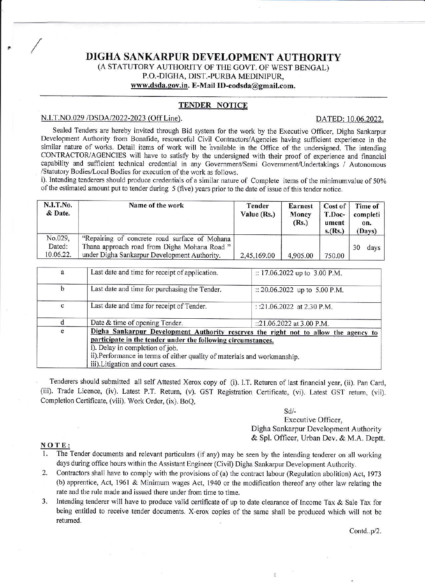# DIGHA SANKARPUR DEVELOPMENT AUTHORITY (A STATUTORY AUTHORITY OF THE GOVT. OF WEST BENGAL) P.O.-DIGHA, DIST.-PURBA MEDINIPUR, www.dsda.gov.in. E-Mail ID-eodsda@gmail.com.

# **TENDER NOTICE**

# N.I.T.NO.029 /DSDA/2022-2023 (Off Line).

### DATED: 10.06.2022.

Sealed Tenders are hereby invited through Bid system for the work by the Executive Officer, Digha Sankarpur Development Authority from Bonafide, resourceful Civil Contractors/Agencies having sufficient experience in the similar nature of works. Detail items of work will be available in the Office of the undersigned. The intending CONTRACTOR/AGENCIES will have to satisfy by the undersigned with their proof of experience and financial capability and sufficient technical credential in any Government/Semi Government/Undertakings / Autonomous /Statutory Bodies/Local Bodies for execution of the work as follows.

i). Intending tenderers should produce credentials of a similar nature of Complete items of the minimumvalue of 50% of the estimated amount put to tender during 5 (five) years prior to the date of issue of this tender notice.

| N.I.T.No.<br>& Date.           | Name of the work                                                                              | Tender<br>Value (Rs.) | Earnest<br>Money<br>(Rs.) | Cost of<br>T.Doc-<br>ument<br>s.(Rs.) | Time of<br>completi<br>on.<br>(Days) |
|--------------------------------|-----------------------------------------------------------------------------------------------|-----------------------|---------------------------|---------------------------------------|--------------------------------------|
| No.029,<br>Dated:<br>10.06.22. | "Repairing of concrete road surface of Mohana"<br>Thana approach road from Digha Mohana Road" |                       |                           |                                       | 30<br>days                           |
|                                | under Digha Sankarpur Development Authority.                                                  | 2,45,169.00           | 4,905.00                  | 750.00                                |                                      |

| a | Last date and time for receipt of application.                                                                                                                                                                                                                                                          | :: $17.06.2022$ up to 3.00 P.M. |  |  |  |
|---|---------------------------------------------------------------------------------------------------------------------------------------------------------------------------------------------------------------------------------------------------------------------------------------------------------|---------------------------------|--|--|--|
| b | Last date and time for purchasing the Tender.                                                                                                                                                                                                                                                           | :: 20.06.2022 up to 5.00 P.M.   |  |  |  |
| c | Last date and time for receipt of Tender.                                                                                                                                                                                                                                                               | : :21.06.2022 at 2.30 P.M.      |  |  |  |
|   | Date & time of opening Tender.                                                                                                                                                                                                                                                                          | ::21.06.2022 at 3.00 P.M.       |  |  |  |
| e | Digha Sankarpur Development Authority reserves the right not to allow the agency to<br>participate in the tender under the following circumstances.<br>i). Delay in completion of job.<br>ii).Performance in terms of either quality of materials and workmanship.<br>iii). Litigation and court cases. |                                 |  |  |  |

Tenderers should submitted all self Attested Xerox copy of (i). I.T. Returen of last financial year, (ii). Pan Card, (iii). Trade Licence, (iv). Latest P.T. Return, (v). GST Registration Certificate, (vi). Latest GST return, (vii). Completion Certificate, (viii). Work Order, (ix), BoO.

> $Sd/$ -Executive Officer, Digha Sankarpur Development Authority & Spl. Officer, Urban Dev. & M.A. Deptt.

> > $\ddot{\cdot}$

#### NOTE:

- The Tender documents and relevant particulars (if any) may be seen by the intending tenderer on all working days during office hours within the Assistant Engineer (Civil) Digha Sankarpur Development Authority.
- 2. Contractors shall have to comply with the provisions of (a) the contract labour (Regulation abolition) Act, 1973 (b) apprentice, Act, 1961 & Minimum wages Act, 1940 or the modification thereof any other law relating the rate and the rule made and issued there under from time to time.
- $3.$ Intending tenderer will have to produce valid certificate of up to date clearance of Income Tax & Sale Tax for being entitled to receive tender documents. X-erox copies of the same shall be produced which will not be returned.

Contd..p/2.